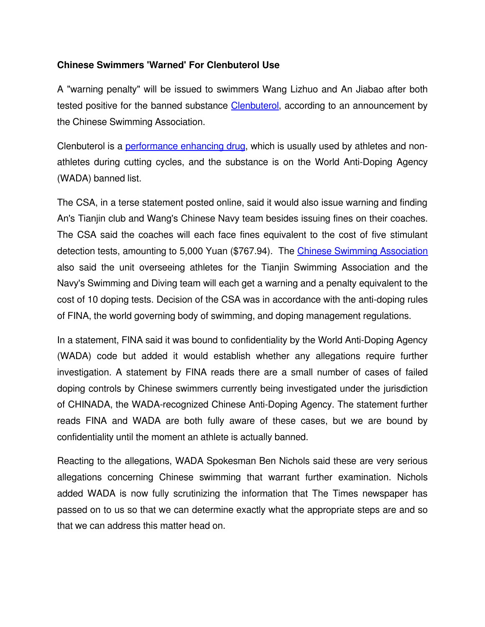## **Chinese Swimmers 'Warned' For Clenbuterol Use**

A "warning penalty" will be issued to swimmers Wang Lizhuo and An Jiabao after both tested positive for the banned substance [Clenbuterol,](http://www.isteroids.com/steroids/Clenbuterol.html) according to an announcement by the Chinese Swimming Association.

Clenbuterol is a [performance enhancing drug,](http://www.isteroids.com/blog/doping-under-tough-control-in-russian-football-says-deputy-pm/) which is usually used by athletes and nonathletes during cutting cycles, and the substance is on the World Anti-Doping Agency (WADA) banned list.

The CSA, in a terse statement posted online, said it would also issue warning and finding An's Tianjin club and Wang's Chinese Navy team besides issuing fines on their coaches. The CSA said the coaches will each face fines equivalent to the cost of five stimulant detection tests, amounting to 5,000 Yuan (\$767.94). The [Chinese Swimming Association](https://en.wikipedia.org/wiki/Chinese_Swimming_Association) also said the unit overseeing athletes for the Tianjin Swimming Association and the Navy's Swimming and Diving team will each get a warning and a penalty equivalent to the cost of 10 doping tests. Decision of the CSA was in accordance with the anti-doping rules of FINA, the world governing body of swimming, and doping management regulations.

In a statement, FINA said it was bound to confidentiality by the World Anti-Doping Agency (WADA) code but added it would establish whether any allegations require further investigation. A statement by FINA reads there are a small number of cases of failed doping controls by Chinese swimmers currently being investigated under the jurisdiction of CHINADA, the WADA-recognized Chinese Anti-Doping Agency. The statement further reads FINA and WADA are both fully aware of these cases, but we are bound by confidentiality until the moment an athlete is actually banned.

Reacting to the allegations, WADA Spokesman Ben Nichols said these are very serious allegations concerning Chinese swimming that warrant further examination. Nichols added WADA is now fully scrutinizing the information that The Times newspaper has passed on to us so that we can determine exactly what the appropriate steps are and so that we can address this matter head on.